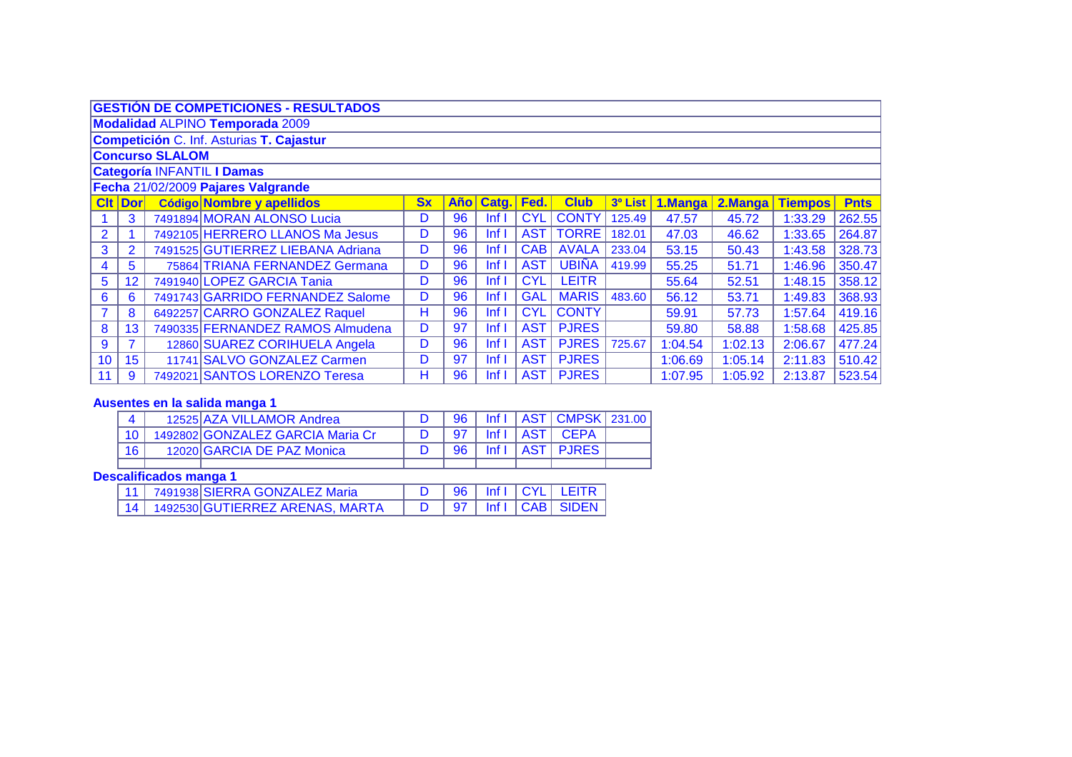|                | <b>GESTIÓN DE COMPETICIONES - RESULTADOS</b>                                                                                                  |  |                                   |           |       |                  |            |              |         |         |         |                |             |  |  |
|----------------|-----------------------------------------------------------------------------------------------------------------------------------------------|--|-----------------------------------|-----------|-------|------------------|------------|--------------|---------|---------|---------|----------------|-------------|--|--|
|                | <b>Modalidad ALPINO Temporada 2009</b>                                                                                                        |  |                                   |           |       |                  |            |              |         |         |         |                |             |  |  |
|                | Competición C. Inf. Asturias T. Cajastur                                                                                                      |  |                                   |           |       |                  |            |              |         |         |         |                |             |  |  |
|                | <b>Concurso SLALOM</b>                                                                                                                        |  |                                   |           |       |                  |            |              |         |         |         |                |             |  |  |
|                | <b>Categoría INFANTIL I Damas</b>                                                                                                             |  |                                   |           |       |                  |            |              |         |         |         |                |             |  |  |
|                | Fecha 21/02/2009 Pajares Valgrande                                                                                                            |  |                                   |           |       |                  |            |              |         |         |         |                |             |  |  |
|                | <b>Clt Dor</b>                                                                                                                                |  | Código Nombre y apellidos         | <b>Sx</b> | Año l | Catg.            | Fed.       | <b>Club</b>  | 3º List | 1.Manga | 2.Manga | <b>Tiempos</b> | <b>Pnts</b> |  |  |
|                | 7491894 MORAN ALONSO Lucia<br>3<br><b>CYL</b><br><b>CONTY</b><br>262.55<br>96<br>125.49<br>D<br>Inf <sub>1</sub><br>47.57<br>45.72<br>1:33.29 |  |                                   |           |       |                  |            |              |         |         |         |                |             |  |  |
| $\overline{2}$ |                                                                                                                                               |  | 7492105 HERRERO LLANOS Ma Jesus   | D         | 96    | Inf <sub>1</sub> | <b>AST</b> | <b>TORRE</b> | 182.01  | 47.03   | 46.62   | 1:33.65        | 264.87      |  |  |
| 3              | $\overline{2}$                                                                                                                                |  | 7491525 GUTIERREZ LIEBANA Adriana | D         | 96    | lnf              | <b>CAB</b> | <b>AVALA</b> | 233.04  | 53.15   | 50.43   | 1:43.58        | 328.73      |  |  |
| 4              | 5                                                                                                                                             |  | 75864 TRIANA FERNANDEZ Germana    | D         | 96    | Inf <sub>1</sub> | <b>AST</b> | <b>UBIÑA</b> | 419.99  | 55.25   | 51.71   | 1:46.96        | 350.47      |  |  |
| 5              | 12 <sub>2</sub>                                                                                                                               |  | 7491940 LOPEZ GARCIA Tania        | D         | 96    | Inf <sub>1</sub> | <b>CYL</b> | <b>LEITR</b> |         | 55.64   | 52.51   | 1:48.15        | 358.12      |  |  |
| 6              | 6                                                                                                                                             |  | 7491743 GARRIDO FERNANDEZ Salome  | D         | 96    | Inf <sub>1</sub> | <b>GAL</b> | <b>MARIS</b> | 483.60  | 56.12   | 53.71   | 1:49.83        | 368.93      |  |  |
|                | 8                                                                                                                                             |  | 6492257 CARRO GONZALEZ Raquel     | н         | 96    | Inf <sub>1</sub> | <b>CYL</b> | <b>CONTY</b> |         | 59.91   | 57.73   | 1:57.64        | 419.16      |  |  |
| 8              | 13                                                                                                                                            |  | 7490335 FERNANDEZ RAMOS Almudena  | D         | 97    | Inf <sub>1</sub> | <b>AST</b> | <b>PJRES</b> |         | 59.80   | 58.88   | 1:58.68        | 425.85      |  |  |
| 9              | 7                                                                                                                                             |  | 12860 SUAREZ CORIHUELA Angela     | D         | 96    | Inf <sub>1</sub> | <b>AST</b> | <b>PJRES</b> | 725.67  | 1:04.54 | 1:02.13 | 2:06.67        | 477.24      |  |  |
| 10             | 15 <sub>15</sub>                                                                                                                              |  | 11741 SALVO GONZALEZ Carmen       | D         | 97    | Inf <sub>1</sub> | <b>AST</b> | <b>PJRES</b> |         | 1:06.69 | 1:05.14 | 2:11.83        | 510.42      |  |  |
| 11             | 9                                                                                                                                             |  | 7492021 SANTOS LORENZO Teresa     | н         | 96    | Inf <sub>1</sub> |            | AST   PJRES  |         | 1:07.95 | 1:05.92 | 2:13.87        | 523.54      |  |  |

# **Ausentes en la salida manga 1**

|                 | 12525 AZA VILLAMOR Andrea        |                 |  | 96   Inf I   AST   CMPSK   231.00 |  |
|-----------------|----------------------------------|-----------------|--|-----------------------------------|--|
|                 | 1492802 GONZALEZ GARCIA Maria Cr | 97              |  | Inf I   AST   CEPA                |  |
| 16 <sub>1</sub> | 12020 GARCIA DE PAZ Monica       | 96 <sup>1</sup> |  | Inf I   AST   PJRES               |  |
|                 |                                  |                 |  |                                   |  |

# **Descalificados manga 1**

| 11   7491938 SIERRA GONZALEZ Maria |  |  | D   96   Inf   CYL   LEITR |
|------------------------------------|--|--|----------------------------|
| 14 1492530 GUTIERREZ ARENAS, MARTA |  |  | D   97   Inf   CAB   SIDEN |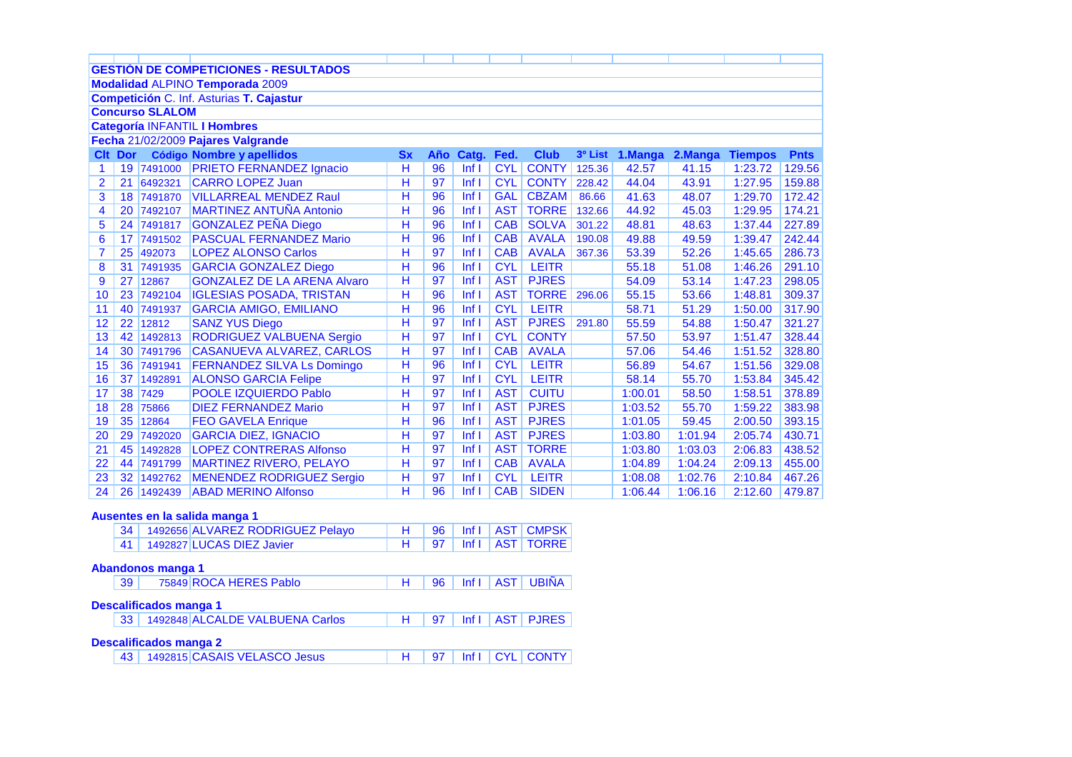| <b>GESTIÓN DE COMPETICIONES - RESULTADOS</b><br><b>Modalidad ALPINO Temporada 2009</b><br>Competición C. Inf. Asturias T. Cajastur<br><b>Concurso SLALOM</b><br><b>Categoría INFANTIL I Hombres</b><br>Fecha 21/02/2009 Pajares Valgrande<br><b>Código Nombre y apellidos</b><br><b>Clt</b><br><b>Dor</b><br><b>Sx</b><br>Año<br>3º List<br>2.Manga<br>Catg.<br>Fed.<br><b>Club</b><br>1.Manga<br><b>Tiempos</b><br><b>Pnts</b><br><b>PRIETO FERNANDEZ Ignacio</b><br>н<br><b>CYL</b><br><b>CONTY</b><br>19 7491000<br>96<br>Inf <sub>l</sub><br>125.36<br>42.57<br>129.56<br>41.15<br>1:23.72<br>1<br>Η<br>21 6492321<br><b>CYL</b><br><b>CONTY</b><br>2<br><b>CARRO LOPEZ Juan</b><br>97<br>Inf <sub>1</sub><br>228.42<br>44.04<br>43.91<br>1:27.95<br>159.88<br>$\overline{\mathsf{H}}$<br><b>GAL</b><br>3<br>18 7491870<br><b>VILLARREAL MENDEZ Raul</b><br>96<br>lnf<br><b>CBZAM</b><br>86.66<br>172.42<br>41.63<br>48.07<br>1:29.70<br>$\overline{\mathsf{H}}$<br><b>MARTINEZ ANTUÑA Antonio</b><br>96<br>Inf <sub>1</sub><br><b>AST</b><br><b>TORRE</b><br>1:29.95<br>174.21<br>4<br>20<br>44.92<br>45.03<br>7492107<br>132.66<br>Н<br><b>GONZALEZ PEÑA Diego</b><br>96<br>Inf <sub>1</sub><br><b>CAB</b><br><b>SOLVA</b><br>5<br>24 7491817<br>301.22<br>48.81<br>1:37.44<br>48.63<br>Η<br>96<br>Inf <sub>1</sub><br><b>AVALA</b><br>6<br>17 <sup>1</sup><br><b>PASCUAL FERNANDEZ Mario</b><br><b>CAB</b><br>49.88<br>7491502<br>49.59<br>1:39.47<br>190.08<br>$\overline{\mathsf{H}}$<br><b>AVALA</b><br>97<br>Inf <sub>1</sub><br><b>CAB</b><br>$\overline{7}$<br><b>LOPEZ ALONSO Carlos</b><br>25<br>367.36<br>53.39<br>52.26<br>1:45.65<br>492073<br>Н<br>96<br><b>CYL</b><br><b>GARCIA GONZALEZ Diego</b><br>Inf <sub>1</sub><br><b>LEITR</b><br>1:46.26<br>8<br>31<br>7491935<br>55.18<br>51.08<br>Н<br>97<br>Inf <sub>1</sub><br><b>AST</b><br><b>PJRES</b><br>9<br>27<br><b>GONZALEZ DE LA ARENA Alvaro</b><br>53.14<br>1:47.23<br>12867<br>54.09<br>Η<br>10<br><b>IGLESIAS POSADA, TRISTAN</b><br>96<br>Inf <sub>1</sub><br><b>AST</b><br><b>TORRE</b><br>1:48.81<br>23<br>296.06<br>55.15<br>53.66<br>7492104<br>Η<br>96<br><b>CYL</b><br>11<br>Inf <sub>1</sub><br><b>LEITR</b><br>1:50.00<br>40<br>7491937<br><b>GARCIA AMIGO, EMILIANO</b><br>58.71<br>51.29<br>Н<br>Inf <sub>1</sub><br><b>PJRES</b><br>12<br>22<br><b>SANZ YUS Diego</b><br>97<br><b>AST</b><br>55.59<br>54.88<br>1:50.47<br>12812<br>291.80<br>$\overline{\mathsf{H}}$<br><b>RODRIGUEZ VALBUENA Sergio</b><br>97<br>Inf <sub>1</sub><br><b>CYL</b><br><b>CONTY</b><br>42<br>53.97<br>1:51.47<br>13<br>1492813<br>57.50<br>$\overline{\mathsf{H}}$<br>97<br>Inf <sub>1</sub><br><b>CAB</b><br><b>AVALA</b><br>14<br>30 <sup>1</sup><br>54.46<br>1:51.52<br>7491796<br><b>CASANUEVA ALVAREZ, CARLOS</b><br>57.06<br>$\overline{\mathsf{H}}$<br>96<br>Inf <sub>1</sub><br><b>CYL</b><br><b>LEITR</b><br>1:51.56<br>15<br>36 7491941<br><b>FERNANDEZ SILVA Ls Domingo</b><br>56.89<br>54.67<br>$\overline{\mathsf{H}}$<br>97<br>Inf <sub>1</sub><br><b>CYL</b><br><b>LEITR</b><br><b>ALONSO GARCIA Felipe</b><br>16<br>37<br>58.14<br>55.70<br>1:53.84<br>1492891<br>Н<br>38<br>97<br><b>AST</b><br><b>CUITU</b><br>17<br><b>POOLE IZQUIERDO Pablo</b><br>Inf <sub>1</sub><br>58.50<br>1:58.51<br>7429<br>1:00.01<br>Н<br>97<br>Inf <sub>1</sub><br><b>AST</b><br><b>PJRES</b><br>28<br><b>DIEZ FERNANDEZ Mario</b><br>55.70<br>1:59.22<br>18<br>75866<br>1:03.52<br>$\overline{\mathsf{H}}$<br>35<br>96<br>Inf <sub>1</sub><br><b>AST</b><br><b>PJRES</b><br><b>FEO GAVELA Enrique</b><br>59.45<br>2:00.50<br>19<br>12864<br>1:01.05<br>$\overline{\mathsf{H}}$<br>97<br>Inf <sub>1</sub><br><b>AST</b><br><b>PJRES</b><br>2:05.74<br>20<br>29<br>7492020<br><b>GARCIA DIEZ, IGNACIO</b><br>1:03.80<br>1:01.94<br>Η<br><b>LOPEZ CONTRERAS Alfonso</b><br>Inf <sub>l</sub><br><b>AST</b><br><b>TORRE</b><br>2:06.83<br>45<br>1492828<br>97<br>1:03.80<br>1:03.03<br>21<br>Η<br><b>MARTINEZ RIVERO, PELAYO</b><br>97<br>Inf <sub>1</sub><br><b>CAB</b><br><b>AVALA</b><br>22<br>44<br>1:04.24<br>2:09.13<br>7491799<br>1:04.89<br>Η<br><b>LEITR</b><br>32 <sup>°</sup><br>97<br>Inf <sub>1</sub><br><b>CYL</b><br>23<br><b>MENENDEZ RODRIGUEZ Sergio</b><br>1:08.08<br>1:02.76<br>2:10.84<br>1492762 |  |  |  |  |  |  |  |  |  |  |  |  |        |  |
|-----------------------------------------------------------------------------------------------------------------------------------------------------------------------------------------------------------------------------------------------------------------------------------------------------------------------------------------------------------------------------------------------------------------------------------------------------------------------------------------------------------------------------------------------------------------------------------------------------------------------------------------------------------------------------------------------------------------------------------------------------------------------------------------------------------------------------------------------------------------------------------------------------------------------------------------------------------------------------------------------------------------------------------------------------------------------------------------------------------------------------------------------------------------------------------------------------------------------------------------------------------------------------------------------------------------------------------------------------------------------------------------------------------------------------------------------------------------------------------------------------------------------------------------------------------------------------------------------------------------------------------------------------------------------------------------------------------------------------------------------------------------------------------------------------------------------------------------------------------------------------------------------------------------------------------------------------------------------------------------------------------------------------------------------------------------------------------------------------------------------------------------------------------------------------------------------------------------------------------------------------------------------------------------------------------------------------------------------------------------------------------------------------------------------------------------------------------------------------------------------------------------------------------------------------------------------------------------------------------------------------------------------------------------------------------------------------------------------------------------------------------------------------------------------------------------------------------------------------------------------------------------------------------------------------------------------------------------------------------------------------------------------------------------------------------------------------------------------------------------------------------------------------------------------------------------------------------------------------------------------------------------------------------------------------------------------------------------------------------------------------------------------------------------------------------------------------------------------------------------------------------------------------------------------------------------------------------------------------------------------------------------------------------------------------------------------------------------------------------------------------------------------------------------------------------------------------------------------------------------------------------------------------------------------------------------------------------------------------------------------------------------------------------------------------------------------------------------------------------------------------------------------------------------------------------------------------------------------------------------------------------------------------------------|--|--|--|--|--|--|--|--|--|--|--|--|--------|--|
|                                                                                                                                                                                                                                                                                                                                                                                                                                                                                                                                                                                                                                                                                                                                                                                                                                                                                                                                                                                                                                                                                                                                                                                                                                                                                                                                                                                                                                                                                                                                                                                                                                                                                                                                                                                                                                                                                                                                                                                                                                                                                                                                                                                                                                                                                                                                                                                                                                                                                                                                                                                                                                                                                                                                                                                                                                                                                                                                                                                                                                                                                                                                                                                                                                                                                                                                                                                                                                                                                                                                                                                                                                                                                                                                                                                                                                                                                                                                                                                                                                                                                                                                                                                                                                                                                         |  |  |  |  |  |  |  |  |  |  |  |  |        |  |
|                                                                                                                                                                                                                                                                                                                                                                                                                                                                                                                                                                                                                                                                                                                                                                                                                                                                                                                                                                                                                                                                                                                                                                                                                                                                                                                                                                                                                                                                                                                                                                                                                                                                                                                                                                                                                                                                                                                                                                                                                                                                                                                                                                                                                                                                                                                                                                                                                                                                                                                                                                                                                                                                                                                                                                                                                                                                                                                                                                                                                                                                                                                                                                                                                                                                                                                                                                                                                                                                                                                                                                                                                                                                                                                                                                                                                                                                                                                                                                                                                                                                                                                                                                                                                                                                                         |  |  |  |  |  |  |  |  |  |  |  |  |        |  |
|                                                                                                                                                                                                                                                                                                                                                                                                                                                                                                                                                                                                                                                                                                                                                                                                                                                                                                                                                                                                                                                                                                                                                                                                                                                                                                                                                                                                                                                                                                                                                                                                                                                                                                                                                                                                                                                                                                                                                                                                                                                                                                                                                                                                                                                                                                                                                                                                                                                                                                                                                                                                                                                                                                                                                                                                                                                                                                                                                                                                                                                                                                                                                                                                                                                                                                                                                                                                                                                                                                                                                                                                                                                                                                                                                                                                                                                                                                                                                                                                                                                                                                                                                                                                                                                                                         |  |  |  |  |  |  |  |  |  |  |  |  |        |  |
|                                                                                                                                                                                                                                                                                                                                                                                                                                                                                                                                                                                                                                                                                                                                                                                                                                                                                                                                                                                                                                                                                                                                                                                                                                                                                                                                                                                                                                                                                                                                                                                                                                                                                                                                                                                                                                                                                                                                                                                                                                                                                                                                                                                                                                                                                                                                                                                                                                                                                                                                                                                                                                                                                                                                                                                                                                                                                                                                                                                                                                                                                                                                                                                                                                                                                                                                                                                                                                                                                                                                                                                                                                                                                                                                                                                                                                                                                                                                                                                                                                                                                                                                                                                                                                                                                         |  |  |  |  |  |  |  |  |  |  |  |  |        |  |
|                                                                                                                                                                                                                                                                                                                                                                                                                                                                                                                                                                                                                                                                                                                                                                                                                                                                                                                                                                                                                                                                                                                                                                                                                                                                                                                                                                                                                                                                                                                                                                                                                                                                                                                                                                                                                                                                                                                                                                                                                                                                                                                                                                                                                                                                                                                                                                                                                                                                                                                                                                                                                                                                                                                                                                                                                                                                                                                                                                                                                                                                                                                                                                                                                                                                                                                                                                                                                                                                                                                                                                                                                                                                                                                                                                                                                                                                                                                                                                                                                                                                                                                                                                                                                                                                                         |  |  |  |  |  |  |  |  |  |  |  |  |        |  |
|                                                                                                                                                                                                                                                                                                                                                                                                                                                                                                                                                                                                                                                                                                                                                                                                                                                                                                                                                                                                                                                                                                                                                                                                                                                                                                                                                                                                                                                                                                                                                                                                                                                                                                                                                                                                                                                                                                                                                                                                                                                                                                                                                                                                                                                                                                                                                                                                                                                                                                                                                                                                                                                                                                                                                                                                                                                                                                                                                                                                                                                                                                                                                                                                                                                                                                                                                                                                                                                                                                                                                                                                                                                                                                                                                                                                                                                                                                                                                                                                                                                                                                                                                                                                                                                                                         |  |  |  |  |  |  |  |  |  |  |  |  |        |  |
|                                                                                                                                                                                                                                                                                                                                                                                                                                                                                                                                                                                                                                                                                                                                                                                                                                                                                                                                                                                                                                                                                                                                                                                                                                                                                                                                                                                                                                                                                                                                                                                                                                                                                                                                                                                                                                                                                                                                                                                                                                                                                                                                                                                                                                                                                                                                                                                                                                                                                                                                                                                                                                                                                                                                                                                                                                                                                                                                                                                                                                                                                                                                                                                                                                                                                                                                                                                                                                                                                                                                                                                                                                                                                                                                                                                                                                                                                                                                                                                                                                                                                                                                                                                                                                                                                         |  |  |  |  |  |  |  |  |  |  |  |  |        |  |
|                                                                                                                                                                                                                                                                                                                                                                                                                                                                                                                                                                                                                                                                                                                                                                                                                                                                                                                                                                                                                                                                                                                                                                                                                                                                                                                                                                                                                                                                                                                                                                                                                                                                                                                                                                                                                                                                                                                                                                                                                                                                                                                                                                                                                                                                                                                                                                                                                                                                                                                                                                                                                                                                                                                                                                                                                                                                                                                                                                                                                                                                                                                                                                                                                                                                                                                                                                                                                                                                                                                                                                                                                                                                                                                                                                                                                                                                                                                                                                                                                                                                                                                                                                                                                                                                                         |  |  |  |  |  |  |  |  |  |  |  |  |        |  |
|                                                                                                                                                                                                                                                                                                                                                                                                                                                                                                                                                                                                                                                                                                                                                                                                                                                                                                                                                                                                                                                                                                                                                                                                                                                                                                                                                                                                                                                                                                                                                                                                                                                                                                                                                                                                                                                                                                                                                                                                                                                                                                                                                                                                                                                                                                                                                                                                                                                                                                                                                                                                                                                                                                                                                                                                                                                                                                                                                                                                                                                                                                                                                                                                                                                                                                                                                                                                                                                                                                                                                                                                                                                                                                                                                                                                                                                                                                                                                                                                                                                                                                                                                                                                                                                                                         |  |  |  |  |  |  |  |  |  |  |  |  |        |  |
|                                                                                                                                                                                                                                                                                                                                                                                                                                                                                                                                                                                                                                                                                                                                                                                                                                                                                                                                                                                                                                                                                                                                                                                                                                                                                                                                                                                                                                                                                                                                                                                                                                                                                                                                                                                                                                                                                                                                                                                                                                                                                                                                                                                                                                                                                                                                                                                                                                                                                                                                                                                                                                                                                                                                                                                                                                                                                                                                                                                                                                                                                                                                                                                                                                                                                                                                                                                                                                                                                                                                                                                                                                                                                                                                                                                                                                                                                                                                                                                                                                                                                                                                                                                                                                                                                         |  |  |  |  |  |  |  |  |  |  |  |  |        |  |
|                                                                                                                                                                                                                                                                                                                                                                                                                                                                                                                                                                                                                                                                                                                                                                                                                                                                                                                                                                                                                                                                                                                                                                                                                                                                                                                                                                                                                                                                                                                                                                                                                                                                                                                                                                                                                                                                                                                                                                                                                                                                                                                                                                                                                                                                                                                                                                                                                                                                                                                                                                                                                                                                                                                                                                                                                                                                                                                                                                                                                                                                                                                                                                                                                                                                                                                                                                                                                                                                                                                                                                                                                                                                                                                                                                                                                                                                                                                                                                                                                                                                                                                                                                                                                                                                                         |  |  |  |  |  |  |  |  |  |  |  |  |        |  |
|                                                                                                                                                                                                                                                                                                                                                                                                                                                                                                                                                                                                                                                                                                                                                                                                                                                                                                                                                                                                                                                                                                                                                                                                                                                                                                                                                                                                                                                                                                                                                                                                                                                                                                                                                                                                                                                                                                                                                                                                                                                                                                                                                                                                                                                                                                                                                                                                                                                                                                                                                                                                                                                                                                                                                                                                                                                                                                                                                                                                                                                                                                                                                                                                                                                                                                                                                                                                                                                                                                                                                                                                                                                                                                                                                                                                                                                                                                                                                                                                                                                                                                                                                                                                                                                                                         |  |  |  |  |  |  |  |  |  |  |  |  | 227.89 |  |
|                                                                                                                                                                                                                                                                                                                                                                                                                                                                                                                                                                                                                                                                                                                                                                                                                                                                                                                                                                                                                                                                                                                                                                                                                                                                                                                                                                                                                                                                                                                                                                                                                                                                                                                                                                                                                                                                                                                                                                                                                                                                                                                                                                                                                                                                                                                                                                                                                                                                                                                                                                                                                                                                                                                                                                                                                                                                                                                                                                                                                                                                                                                                                                                                                                                                                                                                                                                                                                                                                                                                                                                                                                                                                                                                                                                                                                                                                                                                                                                                                                                                                                                                                                                                                                                                                         |  |  |  |  |  |  |  |  |  |  |  |  | 242.44 |  |
|                                                                                                                                                                                                                                                                                                                                                                                                                                                                                                                                                                                                                                                                                                                                                                                                                                                                                                                                                                                                                                                                                                                                                                                                                                                                                                                                                                                                                                                                                                                                                                                                                                                                                                                                                                                                                                                                                                                                                                                                                                                                                                                                                                                                                                                                                                                                                                                                                                                                                                                                                                                                                                                                                                                                                                                                                                                                                                                                                                                                                                                                                                                                                                                                                                                                                                                                                                                                                                                                                                                                                                                                                                                                                                                                                                                                                                                                                                                                                                                                                                                                                                                                                                                                                                                                                         |  |  |  |  |  |  |  |  |  |  |  |  | 286.73 |  |
|                                                                                                                                                                                                                                                                                                                                                                                                                                                                                                                                                                                                                                                                                                                                                                                                                                                                                                                                                                                                                                                                                                                                                                                                                                                                                                                                                                                                                                                                                                                                                                                                                                                                                                                                                                                                                                                                                                                                                                                                                                                                                                                                                                                                                                                                                                                                                                                                                                                                                                                                                                                                                                                                                                                                                                                                                                                                                                                                                                                                                                                                                                                                                                                                                                                                                                                                                                                                                                                                                                                                                                                                                                                                                                                                                                                                                                                                                                                                                                                                                                                                                                                                                                                                                                                                                         |  |  |  |  |  |  |  |  |  |  |  |  | 291.10 |  |
|                                                                                                                                                                                                                                                                                                                                                                                                                                                                                                                                                                                                                                                                                                                                                                                                                                                                                                                                                                                                                                                                                                                                                                                                                                                                                                                                                                                                                                                                                                                                                                                                                                                                                                                                                                                                                                                                                                                                                                                                                                                                                                                                                                                                                                                                                                                                                                                                                                                                                                                                                                                                                                                                                                                                                                                                                                                                                                                                                                                                                                                                                                                                                                                                                                                                                                                                                                                                                                                                                                                                                                                                                                                                                                                                                                                                                                                                                                                                                                                                                                                                                                                                                                                                                                                                                         |  |  |  |  |  |  |  |  |  |  |  |  | 298.05 |  |
|                                                                                                                                                                                                                                                                                                                                                                                                                                                                                                                                                                                                                                                                                                                                                                                                                                                                                                                                                                                                                                                                                                                                                                                                                                                                                                                                                                                                                                                                                                                                                                                                                                                                                                                                                                                                                                                                                                                                                                                                                                                                                                                                                                                                                                                                                                                                                                                                                                                                                                                                                                                                                                                                                                                                                                                                                                                                                                                                                                                                                                                                                                                                                                                                                                                                                                                                                                                                                                                                                                                                                                                                                                                                                                                                                                                                                                                                                                                                                                                                                                                                                                                                                                                                                                                                                         |  |  |  |  |  |  |  |  |  |  |  |  | 309.37 |  |
|                                                                                                                                                                                                                                                                                                                                                                                                                                                                                                                                                                                                                                                                                                                                                                                                                                                                                                                                                                                                                                                                                                                                                                                                                                                                                                                                                                                                                                                                                                                                                                                                                                                                                                                                                                                                                                                                                                                                                                                                                                                                                                                                                                                                                                                                                                                                                                                                                                                                                                                                                                                                                                                                                                                                                                                                                                                                                                                                                                                                                                                                                                                                                                                                                                                                                                                                                                                                                                                                                                                                                                                                                                                                                                                                                                                                                                                                                                                                                                                                                                                                                                                                                                                                                                                                                         |  |  |  |  |  |  |  |  |  |  |  |  | 317.90 |  |
|                                                                                                                                                                                                                                                                                                                                                                                                                                                                                                                                                                                                                                                                                                                                                                                                                                                                                                                                                                                                                                                                                                                                                                                                                                                                                                                                                                                                                                                                                                                                                                                                                                                                                                                                                                                                                                                                                                                                                                                                                                                                                                                                                                                                                                                                                                                                                                                                                                                                                                                                                                                                                                                                                                                                                                                                                                                                                                                                                                                                                                                                                                                                                                                                                                                                                                                                                                                                                                                                                                                                                                                                                                                                                                                                                                                                                                                                                                                                                                                                                                                                                                                                                                                                                                                                                         |  |  |  |  |  |  |  |  |  |  |  |  | 321.27 |  |
|                                                                                                                                                                                                                                                                                                                                                                                                                                                                                                                                                                                                                                                                                                                                                                                                                                                                                                                                                                                                                                                                                                                                                                                                                                                                                                                                                                                                                                                                                                                                                                                                                                                                                                                                                                                                                                                                                                                                                                                                                                                                                                                                                                                                                                                                                                                                                                                                                                                                                                                                                                                                                                                                                                                                                                                                                                                                                                                                                                                                                                                                                                                                                                                                                                                                                                                                                                                                                                                                                                                                                                                                                                                                                                                                                                                                                                                                                                                                                                                                                                                                                                                                                                                                                                                                                         |  |  |  |  |  |  |  |  |  |  |  |  | 328.44 |  |
|                                                                                                                                                                                                                                                                                                                                                                                                                                                                                                                                                                                                                                                                                                                                                                                                                                                                                                                                                                                                                                                                                                                                                                                                                                                                                                                                                                                                                                                                                                                                                                                                                                                                                                                                                                                                                                                                                                                                                                                                                                                                                                                                                                                                                                                                                                                                                                                                                                                                                                                                                                                                                                                                                                                                                                                                                                                                                                                                                                                                                                                                                                                                                                                                                                                                                                                                                                                                                                                                                                                                                                                                                                                                                                                                                                                                                                                                                                                                                                                                                                                                                                                                                                                                                                                                                         |  |  |  |  |  |  |  |  |  |  |  |  | 328.80 |  |
|                                                                                                                                                                                                                                                                                                                                                                                                                                                                                                                                                                                                                                                                                                                                                                                                                                                                                                                                                                                                                                                                                                                                                                                                                                                                                                                                                                                                                                                                                                                                                                                                                                                                                                                                                                                                                                                                                                                                                                                                                                                                                                                                                                                                                                                                                                                                                                                                                                                                                                                                                                                                                                                                                                                                                                                                                                                                                                                                                                                                                                                                                                                                                                                                                                                                                                                                                                                                                                                                                                                                                                                                                                                                                                                                                                                                                                                                                                                                                                                                                                                                                                                                                                                                                                                                                         |  |  |  |  |  |  |  |  |  |  |  |  | 329.08 |  |
|                                                                                                                                                                                                                                                                                                                                                                                                                                                                                                                                                                                                                                                                                                                                                                                                                                                                                                                                                                                                                                                                                                                                                                                                                                                                                                                                                                                                                                                                                                                                                                                                                                                                                                                                                                                                                                                                                                                                                                                                                                                                                                                                                                                                                                                                                                                                                                                                                                                                                                                                                                                                                                                                                                                                                                                                                                                                                                                                                                                                                                                                                                                                                                                                                                                                                                                                                                                                                                                                                                                                                                                                                                                                                                                                                                                                                                                                                                                                                                                                                                                                                                                                                                                                                                                                                         |  |  |  |  |  |  |  |  |  |  |  |  | 345.42 |  |
|                                                                                                                                                                                                                                                                                                                                                                                                                                                                                                                                                                                                                                                                                                                                                                                                                                                                                                                                                                                                                                                                                                                                                                                                                                                                                                                                                                                                                                                                                                                                                                                                                                                                                                                                                                                                                                                                                                                                                                                                                                                                                                                                                                                                                                                                                                                                                                                                                                                                                                                                                                                                                                                                                                                                                                                                                                                                                                                                                                                                                                                                                                                                                                                                                                                                                                                                                                                                                                                                                                                                                                                                                                                                                                                                                                                                                                                                                                                                                                                                                                                                                                                                                                                                                                                                                         |  |  |  |  |  |  |  |  |  |  |  |  | 378.89 |  |
|                                                                                                                                                                                                                                                                                                                                                                                                                                                                                                                                                                                                                                                                                                                                                                                                                                                                                                                                                                                                                                                                                                                                                                                                                                                                                                                                                                                                                                                                                                                                                                                                                                                                                                                                                                                                                                                                                                                                                                                                                                                                                                                                                                                                                                                                                                                                                                                                                                                                                                                                                                                                                                                                                                                                                                                                                                                                                                                                                                                                                                                                                                                                                                                                                                                                                                                                                                                                                                                                                                                                                                                                                                                                                                                                                                                                                                                                                                                                                                                                                                                                                                                                                                                                                                                                                         |  |  |  |  |  |  |  |  |  |  |  |  | 383.98 |  |
|                                                                                                                                                                                                                                                                                                                                                                                                                                                                                                                                                                                                                                                                                                                                                                                                                                                                                                                                                                                                                                                                                                                                                                                                                                                                                                                                                                                                                                                                                                                                                                                                                                                                                                                                                                                                                                                                                                                                                                                                                                                                                                                                                                                                                                                                                                                                                                                                                                                                                                                                                                                                                                                                                                                                                                                                                                                                                                                                                                                                                                                                                                                                                                                                                                                                                                                                                                                                                                                                                                                                                                                                                                                                                                                                                                                                                                                                                                                                                                                                                                                                                                                                                                                                                                                                                         |  |  |  |  |  |  |  |  |  |  |  |  | 393.15 |  |
|                                                                                                                                                                                                                                                                                                                                                                                                                                                                                                                                                                                                                                                                                                                                                                                                                                                                                                                                                                                                                                                                                                                                                                                                                                                                                                                                                                                                                                                                                                                                                                                                                                                                                                                                                                                                                                                                                                                                                                                                                                                                                                                                                                                                                                                                                                                                                                                                                                                                                                                                                                                                                                                                                                                                                                                                                                                                                                                                                                                                                                                                                                                                                                                                                                                                                                                                                                                                                                                                                                                                                                                                                                                                                                                                                                                                                                                                                                                                                                                                                                                                                                                                                                                                                                                                                         |  |  |  |  |  |  |  |  |  |  |  |  | 430.71 |  |
|                                                                                                                                                                                                                                                                                                                                                                                                                                                                                                                                                                                                                                                                                                                                                                                                                                                                                                                                                                                                                                                                                                                                                                                                                                                                                                                                                                                                                                                                                                                                                                                                                                                                                                                                                                                                                                                                                                                                                                                                                                                                                                                                                                                                                                                                                                                                                                                                                                                                                                                                                                                                                                                                                                                                                                                                                                                                                                                                                                                                                                                                                                                                                                                                                                                                                                                                                                                                                                                                                                                                                                                                                                                                                                                                                                                                                                                                                                                                                                                                                                                                                                                                                                                                                                                                                         |  |  |  |  |  |  |  |  |  |  |  |  | 438.52 |  |
|                                                                                                                                                                                                                                                                                                                                                                                                                                                                                                                                                                                                                                                                                                                                                                                                                                                                                                                                                                                                                                                                                                                                                                                                                                                                                                                                                                                                                                                                                                                                                                                                                                                                                                                                                                                                                                                                                                                                                                                                                                                                                                                                                                                                                                                                                                                                                                                                                                                                                                                                                                                                                                                                                                                                                                                                                                                                                                                                                                                                                                                                                                                                                                                                                                                                                                                                                                                                                                                                                                                                                                                                                                                                                                                                                                                                                                                                                                                                                                                                                                                                                                                                                                                                                                                                                         |  |  |  |  |  |  |  |  |  |  |  |  | 455.00 |  |
|                                                                                                                                                                                                                                                                                                                                                                                                                                                                                                                                                                                                                                                                                                                                                                                                                                                                                                                                                                                                                                                                                                                                                                                                                                                                                                                                                                                                                                                                                                                                                                                                                                                                                                                                                                                                                                                                                                                                                                                                                                                                                                                                                                                                                                                                                                                                                                                                                                                                                                                                                                                                                                                                                                                                                                                                                                                                                                                                                                                                                                                                                                                                                                                                                                                                                                                                                                                                                                                                                                                                                                                                                                                                                                                                                                                                                                                                                                                                                                                                                                                                                                                                                                                                                                                                                         |  |  |  |  |  |  |  |  |  |  |  |  | 467.26 |  |
| H<br><b>ABAD MERINO Alfonso</b><br>lnf<br><b>SIDEN</b><br>2:12.60<br>26 1492439<br>96<br><b>CAB</b><br>1:06.44<br>1:06.16<br>24                                                                                                                                                                                                                                                                                                                                                                                                                                                                                                                                                                                                                                                                                                                                                                                                                                                                                                                                                                                                                                                                                                                                                                                                                                                                                                                                                                                                                                                                                                                                                                                                                                                                                                                                                                                                                                                                                                                                                                                                                                                                                                                                                                                                                                                                                                                                                                                                                                                                                                                                                                                                                                                                                                                                                                                                                                                                                                                                                                                                                                                                                                                                                                                                                                                                                                                                                                                                                                                                                                                                                                                                                                                                                                                                                                                                                                                                                                                                                                                                                                                                                                                                                         |  |  |  |  |  |  |  |  |  |  |  |  | 479.87 |  |

## **Ausentes en la salida manga 1**

| 34   1492656 ALVAREZ RODRIGUEZ Pelayo |  |  | H 96 Infl AST CMPSK                                                              |
|---------------------------------------|--|--|----------------------------------------------------------------------------------|
| 41   1492827 LUCAS DIEZ Javier        |  |  | $\parallel$ H $\parallel$ 97 $\parallel$ Inf I $\parallel$ AST $\parallel$ TORRE |

## **Abandonos manga 1**

|  |  | 75849 ROCA HERES Pablo |  |  |  |  | 96   Inf     AST   UBIÑA |
|--|--|------------------------|--|--|--|--|--------------------------|
|--|--|------------------------|--|--|--|--|--------------------------|

### **Descalificados manga 1**

| 33   1492848 ALCALDE VALBUENA Carlos |  |  | H   97   Inf     AST   PJRES |
|--------------------------------------|--|--|------------------------------|
|                                      |  |  |                              |

## **Descalificados manga 2**

43 | 1492815 CASAIS VELASCO Jesus | H | 97 | Inf I | CYL | CONTY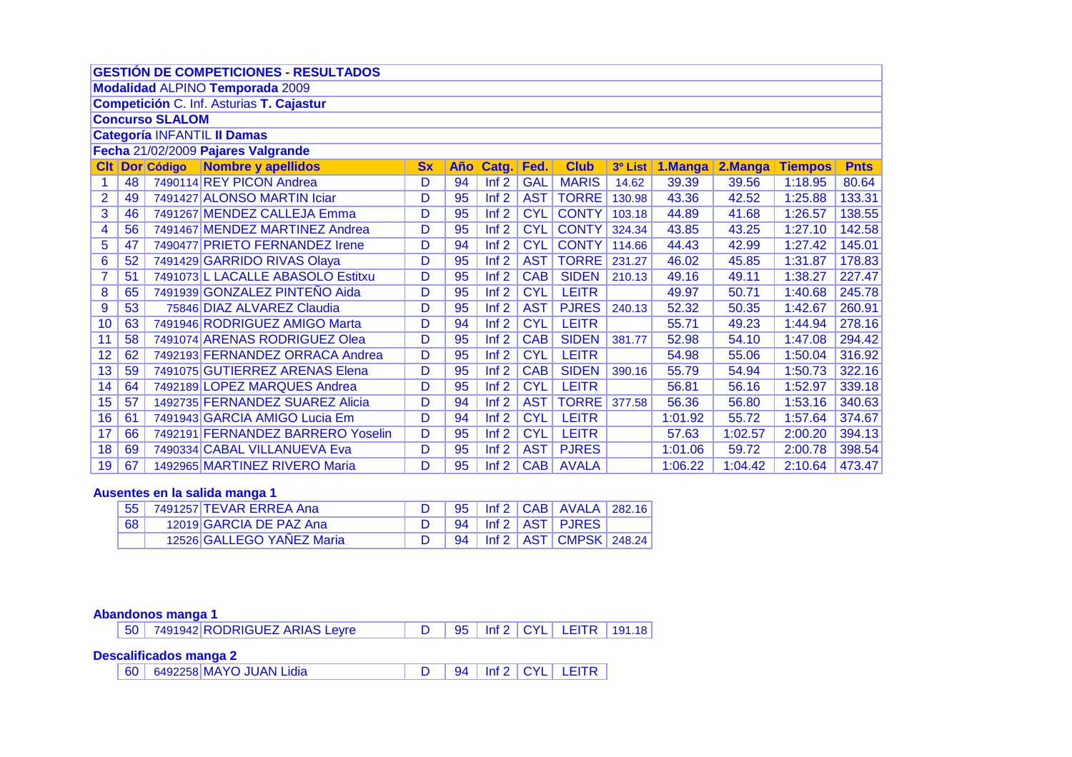|                                                                                                                                                        | <b>GESTIÓN DE COMPETICIONES - RESULTADOS</b>                                                                                    |  |                                          |   |    |                  |            |              |        |         |         |             |        |  |  |
|--------------------------------------------------------------------------------------------------------------------------------------------------------|---------------------------------------------------------------------------------------------------------------------------------|--|------------------------------------------|---|----|------------------|------------|--------------|--------|---------|---------|-------------|--------|--|--|
|                                                                                                                                                        | <b>Modalidad ALPINO Temporada 2009</b>                                                                                          |  |                                          |   |    |                  |            |              |        |         |         |             |        |  |  |
|                                                                                                                                                        |                                                                                                                                 |  | Competición C. Inf. Asturias T. Cajastur |   |    |                  |            |              |        |         |         |             |        |  |  |
|                                                                                                                                                        | <b>Concurso SLALOM</b>                                                                                                          |  |                                          |   |    |                  |            |              |        |         |         |             |        |  |  |
| <b>Categoría INFANTIL II Damas</b>                                                                                                                     |                                                                                                                                 |  |                                          |   |    |                  |            |              |        |         |         |             |        |  |  |
| Fecha 21/02/2009 Pajares Valgrande                                                                                                                     |                                                                                                                                 |  |                                          |   |    |                  |            |              |        |         |         |             |        |  |  |
| <b>Dor Código</b><br>Nombre y apellidos<br>Año Catg. Fed.<br><b>Club</b><br>2.Manga<br><b>CIt</b><br>1.Manga<br><b>Sx</b><br>3º List<br><b>Tiempos</b> |                                                                                                                                 |  |                                          |   |    |                  |            |              |        |         |         | <b>Pnts</b> |        |  |  |
| $\mathbf 1$                                                                                                                                            | 48                                                                                                                              |  | 7490114 REY PICON Andrea                 | D | 94 | Inf <sub>2</sub> | GAL        | <b>MARIS</b> | 14.62  | 39.39   | 39.56   | 1:18.95     | 80.64  |  |  |
| $\overline{2}$                                                                                                                                         | 49                                                                                                                              |  | 7491427 ALONSO MARTIN Iciar              | D | 95 | Inf2             | AST        | <b>TORRE</b> | 130.98 | 43.36   | 42.52   | 1:25.88     | 133.31 |  |  |
| 3                                                                                                                                                      | 46<br>7491267 MENDEZ CALLEJA Emma<br>CYL<br><b>CONTY</b><br>D<br>95<br>Inf2<br>44.89<br>41.68<br>1:26.57<br>138.55<br>103.18    |  |                                          |   |    |                  |            |              |        |         |         |             |        |  |  |
| 4                                                                                                                                                      | 7491467 MENDEZ MARTINEZ Andrea<br>CYL<br><b>CONTY</b><br>56<br>D<br>Inf2<br>1:27.10<br>142.58<br>95<br>324.34<br>43.85<br>43.25 |  |                                          |   |    |                  |            |              |        |         |         |             |        |  |  |
| 5                                                                                                                                                      | 47                                                                                                                              |  | 7490477 PRIETO FERNANDEZ Irene           | D | 94 | Inf2             | CYL        | <b>CONTY</b> | 114.66 | 44.43   | 42.99   | 1:27.42     | 145.01 |  |  |
| 6                                                                                                                                                      | 52                                                                                                                              |  | 7491429 GARRIDO RIVAS Olaya              | D | 95 | Inf2             | <b>AST</b> | <b>TORRE</b> | 231.27 | 46.02   | 45.85   | 1:31.87     | 178.83 |  |  |
| $\overline{7}$                                                                                                                                         | 51                                                                                                                              |  | 7491073 L LACALLE ABASOLO Estitxu        | D | 95 | Inf2             | CAB        | <b>SIDEN</b> | 210.13 | 49.16   | 49.11   | 1:38.27     | 227.47 |  |  |
| 8                                                                                                                                                      | 65                                                                                                                              |  | 7491939 GONZALEZ PINTEÑO Aida            | D | 95 | Inf2             | CYL        | <b>LEITR</b> |        | 49.97   | 50.71   | 1:40.68     | 245.78 |  |  |
| 9                                                                                                                                                      | 53                                                                                                                              |  | 75846 DIAZ ALVAREZ Claudia               | D | 95 | Inf2             | AST        | <b>PJRES</b> | 240.13 | 52.32   | 50.35   | 1:42.67     | 260.91 |  |  |
| 10                                                                                                                                                     | 63                                                                                                                              |  | 7491946 RODRIGUEZ AMIGO Marta            | D | 94 | Inf2             | CYL        | <b>LEITR</b> |        | 55.71   | 49.23   | 1:44.94     | 278.16 |  |  |
| 11                                                                                                                                                     | 58                                                                                                                              |  | 7491074 ARENAS RODRIGUEZ Olea            | D | 95 | Inf2             | CAB        | <b>SIDEN</b> | 381.77 | 52.98   | 54.10   | 1:47.08     | 294.42 |  |  |
| 12                                                                                                                                                     | 62                                                                                                                              |  | 7492193 FERNANDEZ ORRACA Andrea          | D | 95 | Inf2             | <b>CYL</b> | <b>LEITR</b> |        | 54.98   | 55.06   | 1:50.04     | 316.92 |  |  |
| 13                                                                                                                                                     | 59                                                                                                                              |  | 7491075 GUTIERREZ ARENAS Elena           | D | 95 | Inf2             | CAB        | <b>SIDEN</b> | 390.16 | 55.79   | 54.94   | 1:50.73     | 322.16 |  |  |
| 14                                                                                                                                                     | 64                                                                                                                              |  | 7492189 LOPEZ MARQUES Andrea             | D | 95 | Inf2             | <b>CYL</b> | <b>LEITR</b> |        | 56.81   | 56.16   | 1:52.97     | 339.18 |  |  |
| 15                                                                                                                                                     | 57                                                                                                                              |  | 1492735 FERNANDEZ SUAREZ Alicia          | D | 94 | Inf2             | AST        | <b>TORRE</b> | 377.58 | 56.36   | 56.80   | 1:53.16     | 340.63 |  |  |
| 16                                                                                                                                                     | 61                                                                                                                              |  | 7491943 GARCIA AMIGO Lucia Em            | D | 94 | Inf2             | CYL        | <b>LEITR</b> |        | 1:01.92 | 55.72   | 1:57.64     | 374.67 |  |  |
| 17                                                                                                                                                     | 66                                                                                                                              |  | 7492191 FERNANDEZ BARRERO Yoselin        | D | 95 | Inf <sub>2</sub> | <b>CYL</b> | <b>LEITR</b> |        | 57.63   | 1:02.57 | 2:00.20     | 394.13 |  |  |
| 18                                                                                                                                                     | 69                                                                                                                              |  | 7490334 CABAL VILLANUEVA Eva             | D | 95 | Inf2             | <b>AST</b> | <b>PJRES</b> |        | 1:01.06 | 59.72   | 2:00.78     | 398.54 |  |  |
| 19                                                                                                                                                     | 67                                                                                                                              |  | 1492965 MARTINEZ RIVERO Maria            | D | 95 | Inf2             | CAB        | <b>AVALA</b> |        | 1:06.22 | 1:04.42 | 2:10.64     | 473.47 |  |  |

# Ausentes en la salida manga 1

|    | ⊤55 7491257 TEVAR ERREA Ana |  |  | $D$   95   Inf 2   CAB   AVALA   282.16 |  |
|----|-----------------------------|--|--|-----------------------------------------|--|
| 68 | 12019 GARCIA DE PAZ Ana     |  |  | D 94   Inf 2   AST   PJRES              |  |
|    | 12526 GALLEGO YAÑEZ Maria   |  |  | D   94   Inf 2   AST   CMPSK   248.24   |  |

Abandonos manga 1<br>50 | 7491942 RODRIGUEZ ARIAS Leyre 95 | Inf 2 | CYL | LEITR | 191.18  $\overline{D}$ 

Descalificados manga 2<br>
60 6492258 MAYO JUAN Lidia  $\overline{D}$ 94 | Inf 2 | CYL | LEITR |